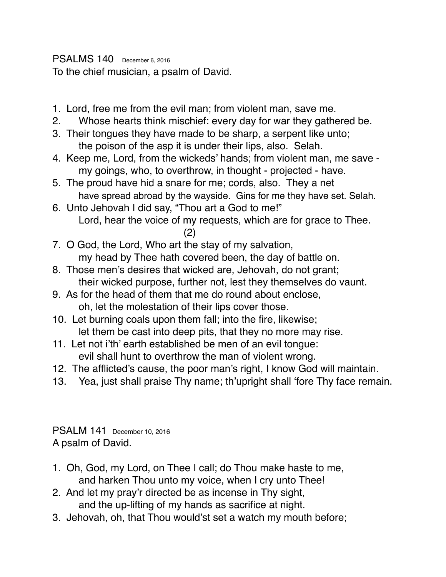PSALMS 140 December 6, 2016 To the chief musician, a psalm of David.

- 1. Lord, free me from the evil man; from violent man, save me.
- 2. Whose hearts think mischief: every day for war they gathered be.
- 3. Their tongues they have made to be sharp, a serpent like unto; the poison of the asp it is under their lips, also. Selah.
- 4. Keep me, Lord, from the wickeds' hands; from violent man, me save my goings, who, to overthrow, in thought - projected - have.
- 5. The proud have hid a snare for me; cords, also. They a net have spread abroad by the wayside. Gins for me they have set. Selah.
- 6. Unto Jehovah I did say, "Thou art a God to me!" Lord, hear the voice of my requests, which are for grace to Thee.
	- (2)
- 7. O God, the Lord, Who art the stay of my salvation, my head by Thee hath covered been, the day of battle on.
- 8. Those men's desires that wicked are, Jehovah, do not grant; their wicked purpose, further not, lest they themselves do vaunt.
- 9. As for the head of them that me do round about enclose, oh, let the molestation of their lips cover those.
- 10. Let burning coals upon them fall; into the fire, likewise; let them be cast into deep pits, that they no more may rise.
- 11. Let not i'th' earth established be men of an evil tongue: evil shall hunt to overthrow the man of violent wrong.
- 12. The afflicted's cause, the poor man's right, I know God will maintain.
- 13. Yea, just shall praise Thy name; th'upright shall 'fore Thy face remain.

PSALM 141 December 10, 2016 A psalm of David.

- 1. Oh, God, my Lord, on Thee I call; do Thou make haste to me, and harken Thou unto my voice, when I cry unto Thee!
- 2. And let my pray'r directed be as incense in Thy sight, and the up-lifting of my hands as sacrifice at night.
- 3. Jehovah, oh, that Thou would'st set a watch my mouth before;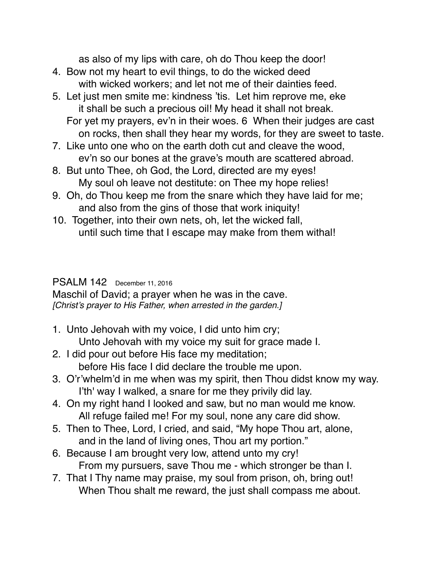as also of my lips with care, oh do Thou keep the door!

- 4. Bow not my heart to evil things, to do the wicked deed with wicked workers; and let not me of their dainties feed.
- 5. Let just men smite me: kindness 'tis. Let him reprove me, eke it shall be such a precious oil! My head it shall not break. For yet my prayers, ev'n in their woes. 6 When their judges are cast
	- on rocks, then shall they hear my words, for they are sweet to taste.
- 7. Like unto one who on the earth doth cut and cleave the wood, ev'n so our bones at the grave's mouth are scattered abroad.
- 8. But unto Thee, oh God, the Lord, directed are my eyes! My soul oh leave not destitute: on Thee my hope relies!
- 9. Oh, do Thou keep me from the snare which they have laid for me; and also from the gins of those that work iniquity!
- 10. Together, into their own nets, oh, let the wicked fall, until such time that I escape may make from them withal!

#### PSALM 142 December 11, 2016

Maschil of David; a prayer when he was in the cave. *[Christ's prayer to His Father, when arrested in the garden.]*

- 1. Unto Jehovah with my voice, I did unto him cry; Unto Jehovah with my voice my suit for grace made I.
- 2. I did pour out before His face my meditation; before His face I did declare the trouble me upon.
- 3. O'r'whelm'd in me when was my spirit, then Thou didst know my way. I'th' way I walked, a snare for me they privily did lay.
- 4. On my right hand I looked and saw, but no man would me know. All refuge failed me! For my soul, none any care did show.
- 5. Then to Thee, Lord, I cried, and said, "My hope Thou art, alone, and in the land of living ones, Thou art my portion."
- 6. Because I am brought very low, attend unto my cry! From my pursuers, save Thou me - which stronger be than I.
- 7. That I Thy name may praise, my soul from prison, oh, bring out! When Thou shalt me reward, the just shall compass me about.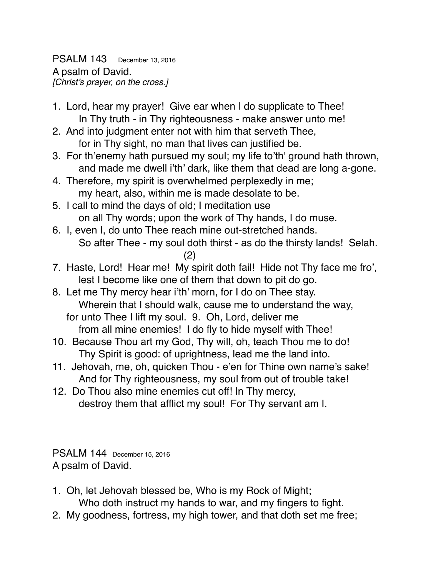PSALM 143 December 13, 2016 A psalm of David. *[Christ's prayer, on the cross.]*

- 1. Lord, hear my prayer! Give ear when I do supplicate to Thee! In Thy truth - in Thy righteousness - make answer unto me!
- 2. And into judgment enter not with him that serveth Thee, for in Thy sight, no man that lives can justified be.
- 3. For th'enemy hath pursued my soul; my life to'th' ground hath thrown, and made me dwell i'th' dark, like them that dead are long a-gone.
- 4. Therefore, my spirit is overwhelmed perplexedly in me; my heart, also, within me is made desolate to be.
- 5. I call to mind the days of old; I meditation use on all Thy words; upon the work of Thy hands, I do muse.
- 6. I, even I, do unto Thee reach mine out-stretched hands. So after Thee - my soul doth thirst - as do the thirsty lands! Selah. (2)
- 7. Haste, Lord! Hear me! My spirit doth fail! Hide not Thy face me fro', lest I become like one of them that down to pit do go.
- 8. Let me Thy mercy hear i'th' morn, for I do on Thee stay. Wherein that I should walk, cause me to understand the way, for unto Thee I lift my soul. 9. Oh, Lord, deliver me from all mine enemies! I do fly to hide myself with Thee!
- 10. Because Thou art my God, Thy will, oh, teach Thou me to do! Thy Spirit is good: of uprightness, lead me the land into.
- 11. Jehovah, me, oh, quicken Thou e'en for Thine own name's sake! And for Thy righteousness, my soul from out of trouble take!
- 12. Do Thou also mine enemies cut off! In Thy mercy, destroy them that afflict my soul! For Thy servant am I.

PSALM 144 December 15, 2016 A psalm of David.

- 1. Oh, let Jehovah blessed be, Who is my Rock of Might; Who doth instruct my hands to war, and my fingers to fight.
- 2. My goodness, fortress, my high tower, and that doth set me free;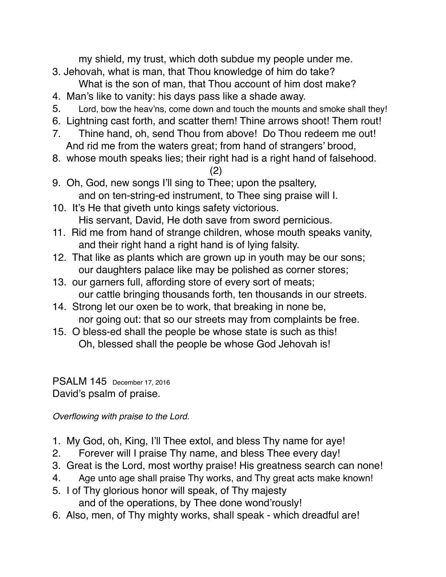my shield, my trust, which doth subdue my people under me.

- 3. Jehovah, what is man, that Thou knowledge of him do take? What is the son of man, that Thou account of him dost make?
- 4. Man's like to vanity: his days pass like a shade away.
- 5. Lord, bow the heav'ns, come down and touch the mounts and smoke shall they!
- 6. Lightning cast forth, and scatter them! Thine arrows shoot! Them rout!
- 7. Thine hand, oh, send Thou from above! Do Thou redeem me out! And rid me from the waters great; from hand of strangers' brood,
- 8. whose mouth speaks lies; their right had is a right hand of falsehood.

(2)

- 9. Oh, God, new songs I'll sing to Thee; upon the psaltery, and on ten-string-ed instrument, to Thee sing praise will I.
- 10. It's He that giveth unto kings safety victorious. His servant, David, He doth save from sword pernicious.
- 11. Rid me from hand of strange children, whose mouth speaks vanity, and their right hand a right hand is of lying falsity.
- 12. That like as plants which are grown up in youth may be our sons; our daughters palace like may be polished as corner stores;
- 13. our garners full, affording store of every sort of meats; our cattle bringing thousands forth, ten thousands in our streets.
- 14. Strong let our oxen be to work, that breaking in none be, nor going out: that so our streets may from complaints be free.
- 15. O bless-ed shall the people be whose state is such as this! Oh, blessed shall the people be whose God Jehovah is!

#### PSALM 145 December 17, 2016 David's psalm of praise.

*Overflowing with praise to the Lord.*

- 1. My God, oh, King, I'll Thee extol, and bless Thy name for aye!
- 2. Forever will I praise Thy name, and bless Thee every day!
- 3. Great is the Lord, most worthy praise! His greatness search can none!
- 4. Age unto age shall praise Thy works, and Thy great acts make known!
- 5. I of Thy glorious honor will speak, of Thy majesty and of the operations, by Thee done wond'rously!
- 6. Also, men, of Thy mighty works, shall speak which dreadful are!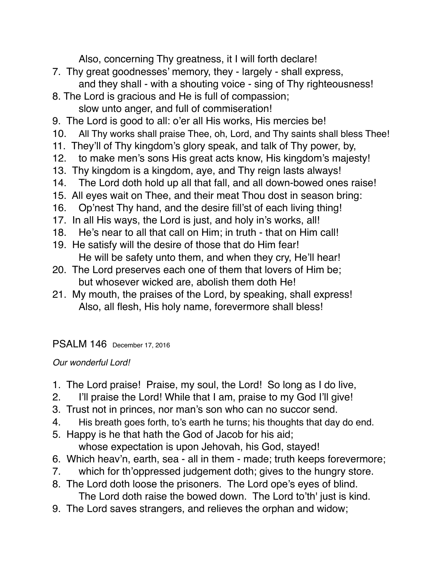Also, concerning Thy greatness, it I will forth declare!

- 7. Thy great goodnesses' memory, they largely shall express, and they shall - with a shouting voice - sing of Thy righteousness!
- 8. The Lord is gracious and He is full of compassion; slow unto anger, and full of commiseration!
- 9. The Lord is good to all: o'er all His works, His mercies be!
- 10. All Thy works shall praise Thee, oh, Lord, and Thy saints shall bless Thee!
- 11. They'll of Thy kingdom's glory speak, and talk of Thy power, by,
- 12. to make men's sons His great acts know, His kingdom's majesty!
- 13. Thy kingdom is a kingdom, aye, and Thy reign lasts always!
- 14. The Lord doth hold up all that fall, and all down-bowed ones raise!
- 15. All eyes wait on Thee, and their meat Thou dost in season bring:
- 16. Op'nest Thy hand, and the desire fill'st of each living thing!
- 17. In all His ways, the Lord is just, and holy in's works, all!
- 18. He's near to all that call on Him; in truth that on Him call!
- 19. He satisfy will the desire of those that do Him fear! He will be safety unto them, and when they cry, He'll hear!
- 20. The Lord preserves each one of them that lovers of Him be; but whosever wicked are, abolish them doth He!
- 21. My mouth, the praises of the Lord, by speaking, shall express! Also, all flesh, His holy name, forevermore shall bless!

# PSALM 146 December 17, 2016

# *Our wonderful Lord!*

- 1. The Lord praise! Praise, my soul, the Lord! So long as I do live,
- 2. I'll praise the Lord! While that I am, praise to my God I'll give!
- 3. Trust not in princes, nor man's son who can no succor send.
- 4. His breath goes forth, to's earth he turns; his thoughts that day do end.
- 5. Happy is he that hath the God of Jacob for his aid; whose expectation is upon Jehovah, his God, stayed!
- 6. Which heav'n, earth, sea all in them made; truth keeps forevermore;
- 7. which for th'oppressed judgement doth; gives to the hungry store.
- 8. The Lord doth loose the prisoners. The Lord ope's eyes of blind. The Lord doth raise the bowed down. The Lord to'th' just is kind.
- 9. The Lord saves strangers, and relieves the orphan and widow;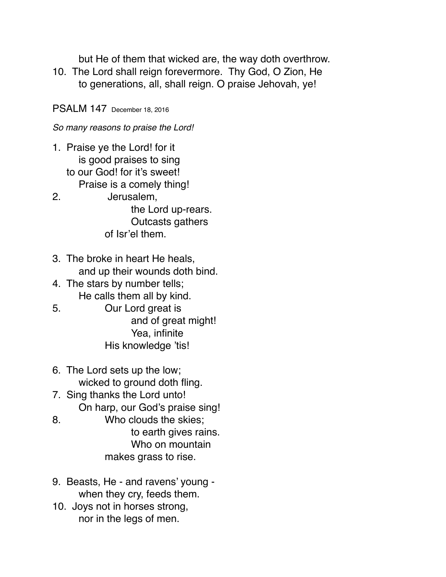but He of them that wicked are, the way doth overthrow.

10. The Lord shall reign forevermore. Thy God, O Zion, He to generations, all, shall reign. O praise Jehovah, ye!

PSALM 147 December 18, 2016

*So many reasons to praise the Lord!*

- 1. Praise ye the Lord! for it is good praises to sing to our God! for it's sweet! Praise is a comely thing!
- 2. Jerusalem, the Lord up-rears. Outcasts gathers of Isr'el them.
- 3. The broke in heart He heals, and up their wounds doth bind.
- 4. The stars by number tells; He calls them all by kind.
- 5. Our Lord great is and of great might! Yea, infinite His knowledge 'tis!
- 6. The Lord sets up the low; wicked to ground doth fling.
- 7. Sing thanks the Lord unto! On harp, our God's praise sing!
- 8. Who clouds the skies; to earth gives rains. Who on mountain makes grass to rise.
- 9. Beasts, He and ravens' young when they cry, feeds them.
- 10. Joys not in horses strong, nor in the legs of men.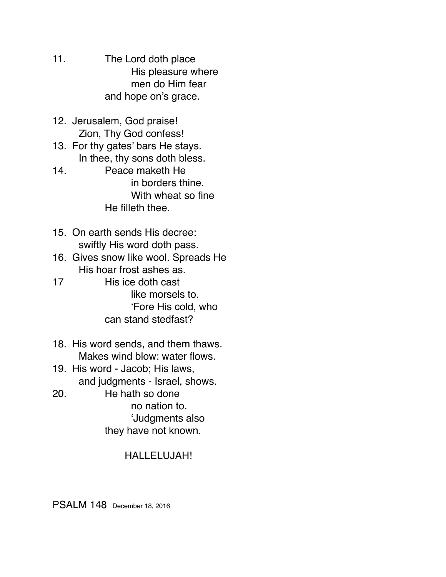- 11. The Lord doth place His pleasure where men do Him fear and hope on's grace.
- 12. Jerusalem, God praise! Zion, Thy God confess!
- 13. For thy gates' bars He stays. In thee, thy sons doth bless.
- 14. Peace maketh He in borders thine. With wheat so fine He filleth thee.
- 15. On earth sends His decree: swiftly His word doth pass.
- 16. Gives snow like wool. Spreads He His hoar frost ashes as.
- 17 His ice doth cast like morsels to. 'Fore His cold, who can stand stedfast?
- 18. His word sends, and them thaws. Makes wind blow: water flows.
- 19. His word Jacob; His laws, and judgments - Israel, shows.
- 20. He hath so done no nation to. 'Judgments also they have not known.

### HALLELUJAH!

PSALM 148 December 18, 2016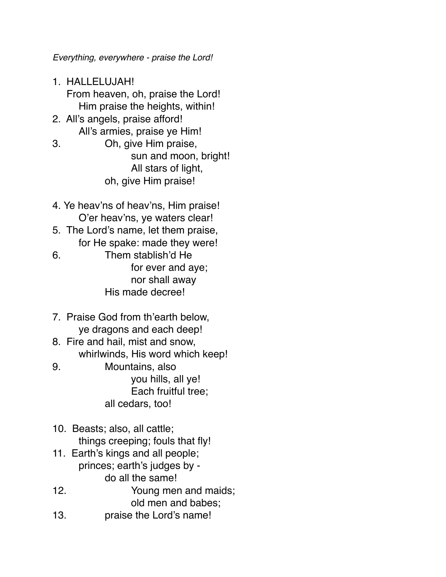*Everything, everywhere - praise the Lord!*

- 1. HALLELUJAH! From heaven, oh, praise the Lord! Him praise the heights, within!
- 2. All's angels, praise afford! All's armies, praise ye Him!
- 3. Oh, give Him praise, sun and moon, bright! All stars of light, oh, give Him praise!
- 4. Ye heav'ns of heav'ns, Him praise! O'er heav'ns, ye waters clear!
- 5. The Lord's name, let them praise, for He spake: made they were!
- 6. Them stablish'd He for ever and aye; nor shall away His made decree!
- 7. Praise God from th'earth below, ye dragons and each deep!
- 8. Fire and hail, mist and snow, whirlwinds, His word which keep!
- 9. Mountains, also you hills, all ye! Each fruitful tree; all cedars, too!
- 10. Beasts; also, all cattle; things creeping; fouls that fly!
- 11. Earth's kings and all people; princes; earth's judges by do all the same!
- 12. Young men and maids; old men and babes; 13. praise the Lord's name!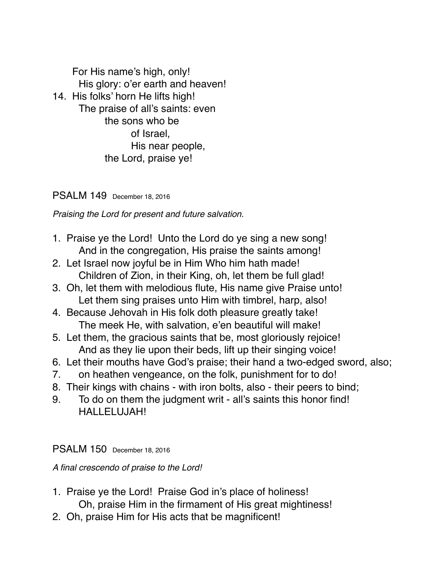For His name's high, only! His glory: o'er earth and heaven! 14. His folks' horn He lifts high! The praise of all's saints: even the sons who be of Israel, His near people, the Lord, praise ye!

PSALM 149 December 18, 2016

*Praising the Lord for present and future salvation.* 

- 1. Praise ye the Lord! Unto the Lord do ye sing a new song! And in the congregation, His praise the saints among!
- 2. Let Israel now joyful be in Him Who him hath made! Children of Zion, in their King, oh, let them be full glad!
- 3. Oh, let them with melodious flute, His name give Praise unto! Let them sing praises unto Him with timbrel, harp, also!
- 4. Because Jehovah in His folk doth pleasure greatly take! The meek He, with salvation, e'en beautiful will make!
- 5. Let them, the gracious saints that be, most gloriously rejoice! And as they lie upon their beds, lift up their singing voice!
- 6. Let their mouths have God's praise; their hand a two-edged sword, also;
- 7. on heathen vengeance, on the folk, punishment for to do!
- 8. Their kings with chains with iron bolts, also their peers to bind;
- 9. To do on them the judgment writ all's saints this honor find! HALLELUJAH!

PSALM 150 December 18, 2016

*A final crescendo of praise to the Lord!*

- 1. Praise ye the Lord! Praise God in's place of holiness! Oh, praise Him in the firmament of His great mightiness!
- 2. Oh, praise Him for His acts that be magnificent!